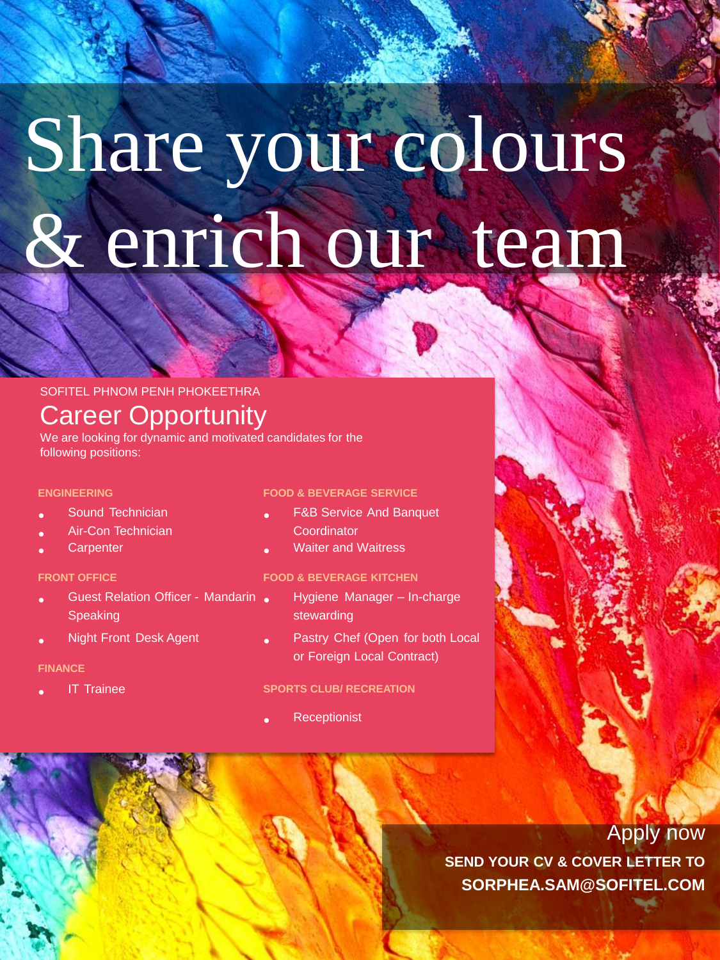# Share your colours & enrich our team

## SOFITEL PHNOM PENH PHOKEETHRA Career Opportunity

We are looking for dynamic and motivated candidates for the following positions:

#### **ENGINEERING**

- Sound Technician
- Air-Con Technician
- **Carpenter**

#### **FRONT OFFICE**

- Guest Relation Officer - Mandarin • Speaking
- Night Front Desk Agent

#### **FINANCE**

• IT Trainee

#### **FOOD & BEVERAGE SERVICE**

- F&B Service And Banquet **Coordinator**
- Waiter and Waitress

#### **FOOD & BEVERAGE KITCHEN**

- Hygiene Manager In-charge stewarding
- Pastry Chef (Open for both Local or Foreign Local Contract)

#### **SPORTS CLUB/ RECREATION**

• **Receptionist** 

## Apply now

**SEND YOUR CV & COVER LETTER TO SORPHEA.SAM@SOFITEL.COM**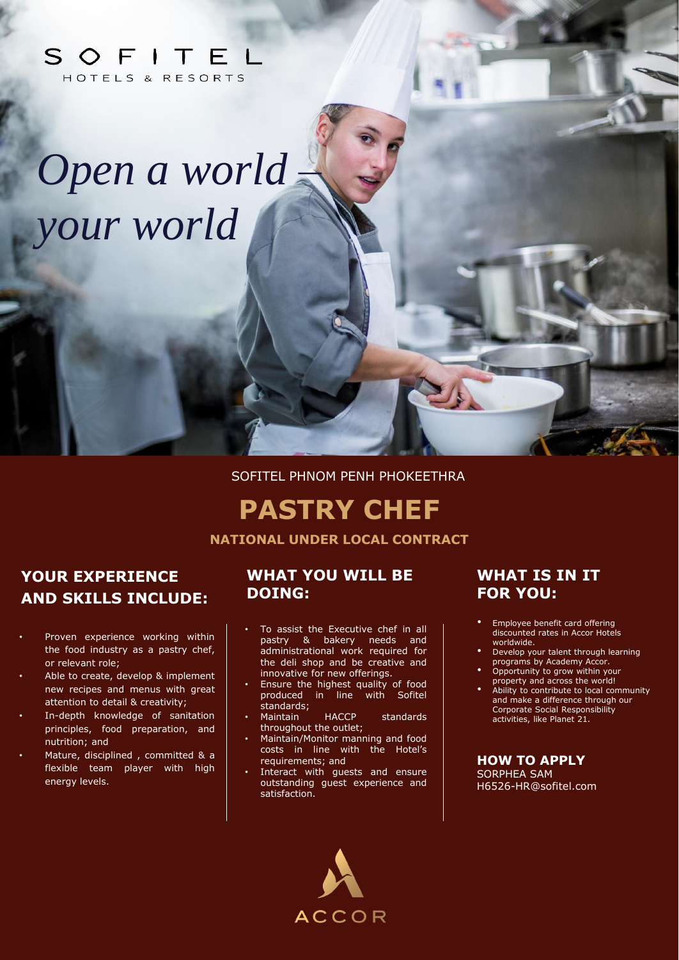## SOFITEL HOTELS & RESORTS

# *Open a world – your world*

SOFITEL PHNOM PENH PHOKEETHRA

# **PASTRY CHEF**

**NATIONAL UNDER LOCAL CONTRACT**

# **YOUR EXPERIENCE AND SKILLS INCLUDE:**

- Proven experience working within the food industry as a pastry chef, or relevant role;
- Able to create, develop & implement new recipes and menus with great attention to detail & creativity;
- In-depth knowledge of sanitation principles, food preparation, and nutrition; and
- Mature, disciplined, committed & a flexible team player with high energy levels.

#### **WHAT YOU WILL BE DOING:**

- To assist the Executive chef in all pastry & bakery needs and administrational work required for the deli shop and be creative and innovative for new offerings.
- Ensure the highest quality of food produced in line with Sofitel standards;
- Maintain HACCP standards throughout the outlet;
- Maintain/Monitor manning and food costs in line with the Hotel's requirements; and
- Interact with guests and ensure outstanding guest experience and satisfaction.

# **ACCOR**

### **WHAT IS IN IT FOR YOU:**

- Employee benefit card offering discounted rates in Accor Hotels worldwide.
- Develop your talent through learning programs by Academy Accor.
- Opportunity to grow within your property and across the world!
- Ability to contribute to local community and make a difference through our Corporate Social Responsibility activities, like Planet 21.

**HOW TO APPLY** SORPHEA SAM H6526-HR@sofitel.com